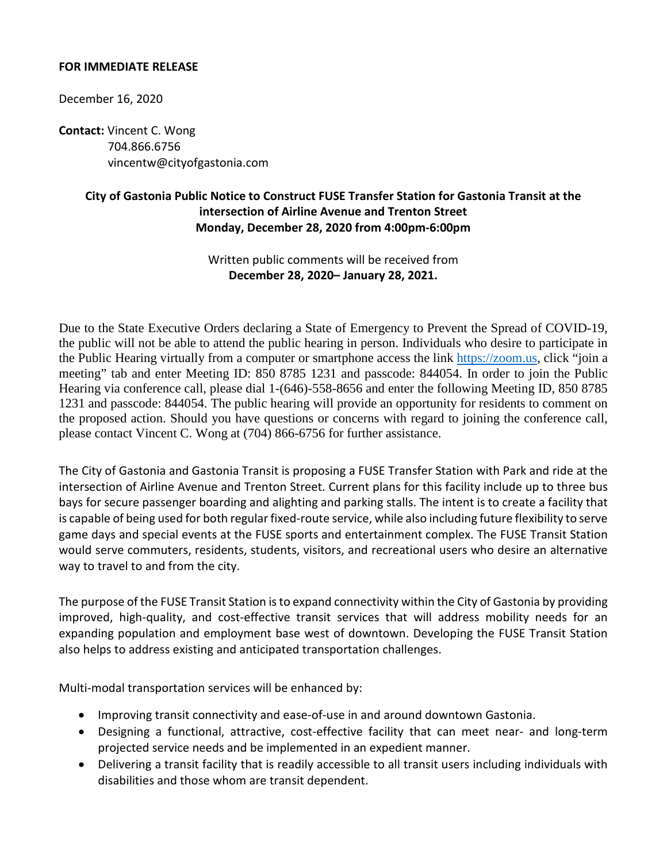### **FOR IMMEDIATE RELEASE**

December 16, 2020

**Contact:** Vincent C. Wong 704.866.6756 vincentw@cityofgastonia.com

## **City of Gastonia Public Notice to Construct FUSE Transfer Station for Gastonia Transit at the intersection of Airline Avenue and Trenton Street Monday, December 28, 2020 from 4:00pm-6:00pm**

Written public comments will be received from **December 28, 2020– January 28, 2021.**

Due to the State Executive Orders declaring a State of Emergency to Prevent the Spread of COVID-19, the public will not be able to attend the public hearing in person. Individuals who desire to participate in the Public Hearing virtually from a computer or smartphone access the link [https://zoom.us,](https://zoom.us/) click "join a meeting" tab and enter Meeting ID: 850 8785 1231 and passcode: 844054. In order to join the Public Hearing via conference call, please dial 1-(646)-558-8656 and enter the following Meeting ID, 850 8785 1231 and passcode: 844054. The public hearing will provide an opportunity for residents to comment on the proposed action. Should you have questions or concerns with regard to joining the conference call, please contact Vincent C. Wong at (704) 866-6756 for further assistance.

The City of Gastonia and Gastonia Transit is proposing a FUSE Transfer Station with Park and ride at the intersection of Airline Avenue and Trenton Street. Current plans for this facility include up to three bus bays for secure passenger boarding and alighting and parking stalls. The intent is to create a facility that is capable of being used for both regular fixed-route service, while also including future flexibility to serve game days and special events at the FUSE sports and entertainment complex. The FUSE Transit Station would serve commuters, residents, students, visitors, and recreational users who desire an alternative way to travel to and from the city.

The purpose of the FUSE Transit Station is to expand connectivity within the City of Gastonia by providing improved, high-quality, and cost-effective transit services that will address mobility needs for an expanding population and employment base west of downtown. Developing the FUSE Transit Station also helps to address existing and anticipated transportation challenges.

Multi-modal transportation services will be enhanced by:

- Improving transit connectivity and ease-of-use in and around downtown Gastonia.
- Designing a functional, attractive, cost-effective facility that can meet near- and long-term projected service needs and be implemented in an expedient manner.
- Delivering a transit facility that is readily accessible to all transit users including individuals with disabilities and those whom are transit dependent.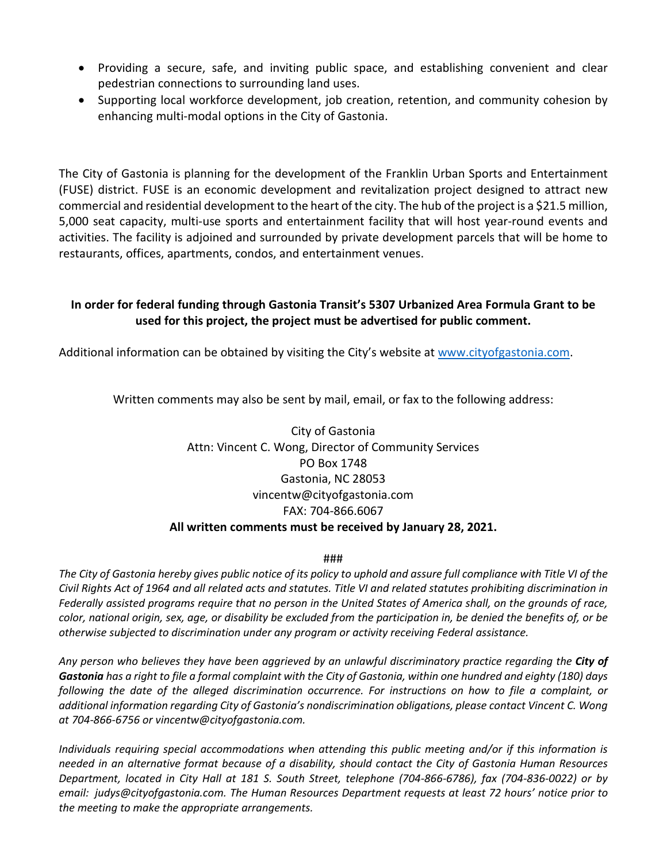- Providing a secure, safe, and inviting public space, and establishing convenient and clear pedestrian connections to surrounding land uses.
- Supporting local workforce development, job creation, retention, and community cohesion by enhancing multi-modal options in the City of Gastonia.

The City of Gastonia is planning for the development of the Franklin Urban Sports and Entertainment (FUSE) district. FUSE is an economic development and revitalization project designed to attract new commercial and residential development to the heart of the city. The hub of the project is a \$21.5 million, 5,000 seat capacity, multi-use sports and entertainment facility that will host year-round events and activities. The facility is adjoined and surrounded by private development parcels that will be home to restaurants, offices, apartments, condos, and entertainment venues.

### **In order for federal funding through Gastonia Transit's 5307 Urbanized Area Formula Grant to be used for this project, the project must be advertised for public comment.**

Additional information can be obtained by visiting the City's website at [www.cityofgastonia.com.](http://www.cityofgastonia.com/)

Written comments may also be sent by mail, email, or fax to the following address:

## City of Gastonia Attn: Vincent C. Wong, Director of Community Services PO Box 1748 Gastonia, NC 28053 vincentw@cityofgastonia.com FAX: 704-866.6067 **All written comments must be received by January 28, 2021.**

#### ###

*The City of Gastonia hereby gives public notice of its policy to uphold and assure full compliance with Title VI of the Civil Rights Act of 1964 and all related acts and statutes. Title VI and related statutes prohibiting discrimination in Federally assisted programs require that no person in the United States of America shall, on the grounds of race, color, national origin, sex, age, or disability be excluded from the participation in, be denied the benefits of, or be otherwise subjected to discrimination under any program or activity receiving Federal assistance.*

*Any person who believes they have been aggrieved by an unlawful discriminatory practice regarding the City of Gastonia has a right to file a formal complaint with the City of Gastonia, within one hundred and eighty (180) days*  following the date of the alleged discrimination occurrence. For instructions on how to file a complaint, or *additional information regarding City of Gastonia's nondiscrimination obligations, please contact Vincent C. Wong at 704-866-6756 or vincentw@cityofgastonia.com.*

*Individuals requiring special accommodations when attending this public meeting and/or if this information is needed in an alternative format because of a disability, should contact the City of Gastonia Human Resources Department, located in City Hall at 181 S. South Street, telephone (704-866-6786), fax (704-836-0022) or by email: [judys@cityofgastonia.com.](mailto:judys@cityofgastonia.com) The Human Resources Department requests at least 72 hours' notice prior to the meeting to make the appropriate arrangements.*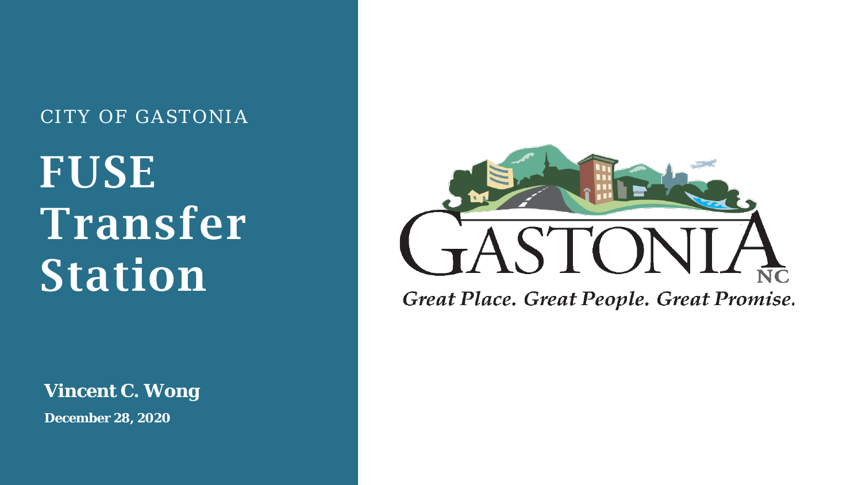## CITY OF GASTONIA

# FUSE Transfer Station

**Vincent C. Wong**

**December 28, 2020**



Great Place. Great People. Great Promise.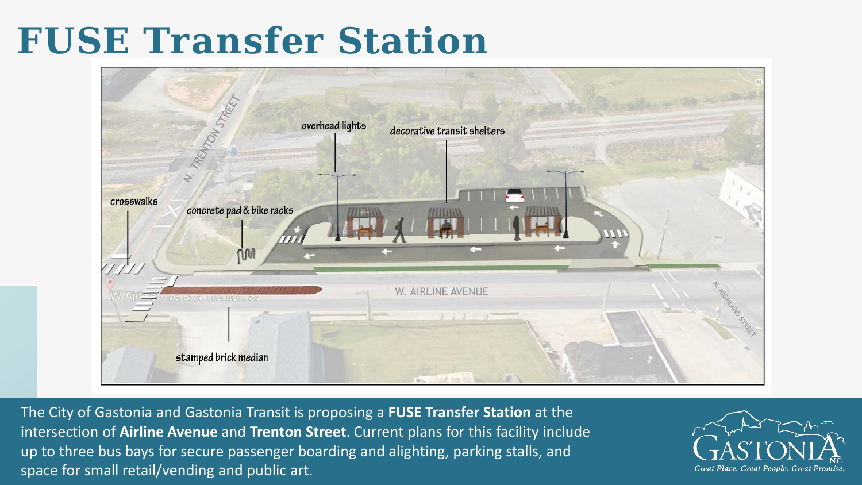## **FUSE Transfer Station**



The City of Gastonia and Gastonia Transit is proposing a **FUSE Transfer Station** at the intersection of **Airline Avenue** and **Trenton Street**. Current plans for this facility include up to three bus bays for secure passenger boarding and alighting, parking stalls, and space for small retail/vending and public art.

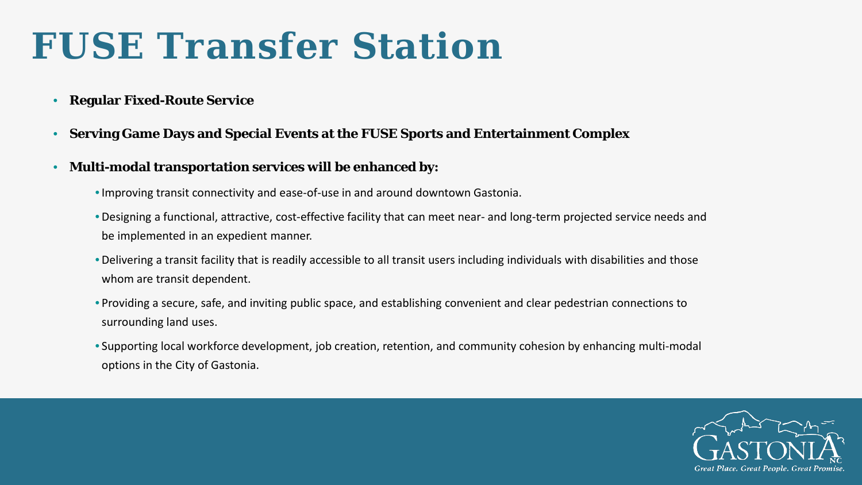## **FUSE Transfer Station**

- **Regular Fixed-Route Service**
- **Serving Game Days and Special Events at the FUSE Sports and Entertainment Complex**
- **Multi-modal transportation services will be enhanced by:**
	- •Improving transit connectivity and ease-of-use in and around downtown Gastonia.
	- Designing a functional, attractive, cost-effective facility that can meet near- and long-term projected service needs and be implemented in an expedient manner.
	- Delivering a transit facility that is readily accessible to all transit users including individuals with disabilities and those whom are transit dependent.
	- Providing a secure, safe, and inviting public space, and establishing convenient and clear pedestrian connections to surrounding land uses.
	- Supporting local workforce development, job creation, retention, and community cohesion by enhancing multi-modal options in the City of Gastonia.